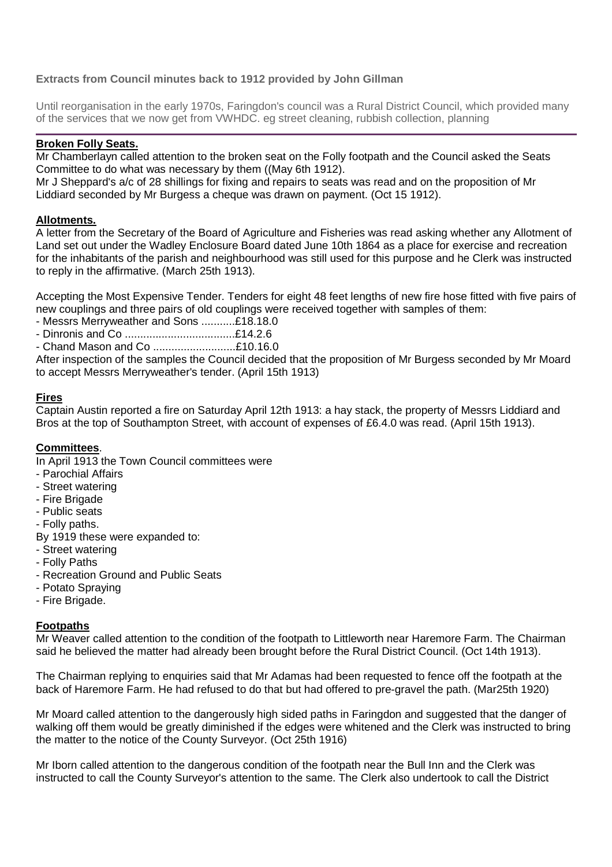# **Extracts from Council minutes back to 1912 provided by John Gillman**

Until reorganisation in the early 1970s, Faringdon's council was a Rural District Council, which provided many of the services that we now get from VWHDC. eg street cleaning, rubbish collection, planning

# **Broken Folly Seats.**

Mr Chamberlayn called attention to the broken seat on the Folly footpath and the Council asked the Seats Committee to do what was necessary by them ((May 6th 1912).

Mr J Sheppard's a/c of 28 shillings for fixing and repairs to seats was read and on the proposition of Mr Liddiard seconded by Mr Burgess a cheque was drawn on payment. (Oct 15 1912).

## **Allotments.**

A letter from the Secretary of the Board of Agriculture and Fisheries was read asking whether any Allotment of Land set out under the Wadley Enclosure Board dated June 10th 1864 as a place for exercise and recreation for the inhabitants of the parish and neighbourhood was still used for this purpose and he Clerk was instructed to reply in the affirmative. (March 25th 1913).

Accepting the Most Expensive Tender. Tenders for eight 48 feet lengths of new fire hose fitted with five pairs of new couplings and three pairs of old couplings were received together with samples of them:

- Messrs Merryweather and Sons ...........£18.18.0
- Dinronis and Co ....................................£14.2.6

- Chand Mason and Co ...........................£10.16.0

After inspection of the samples the Council decided that the proposition of Mr Burgess seconded by Mr Moard to accept Messrs Merryweather's tender. (April 15th 1913)

## **Fires**

Captain Austin reported a fire on Saturday April 12th 1913: a hay stack, the property of Messrs Liddiard and Bros at the top of Southampton Street, with account of expenses of £6.4.0 was read. (April 15th 1913).

### **Committees**.

In April 1913 the Town Council committees were

- Parochial Affairs
- Street watering
- Fire Brigade
- Public seats

- Folly paths.

By 1919 these were expanded to:

- Street watering
- Folly Paths
- Recreation Ground and Public Seats
- Potato Spraying
- Fire Brigade.

### **Footpaths**

Mr Weaver called attention to the condition of the footpath to Littleworth near Haremore Farm. The Chairman said he believed the matter had already been brought before the Rural District Council. (Oct 14th 1913).

The Chairman replying to enquiries said that Mr Adamas had been requested to fence off the footpath at the back of Haremore Farm. He had refused to do that but had offered to pre-gravel the path. (Mar25th 1920)

Mr Moard called attention to the dangerously high sided paths in Faringdon and suggested that the danger of walking off them would be greatly diminished if the edges were whitened and the Clerk was instructed to bring the matter to the notice of the County Surveyor. (Oct 25th 1916)

Mr Iborn called attention to the dangerous condition of the footpath near the Bull Inn and the Clerk was instructed to call the County Surveyor's attention to the same. The Clerk also undertook to call the District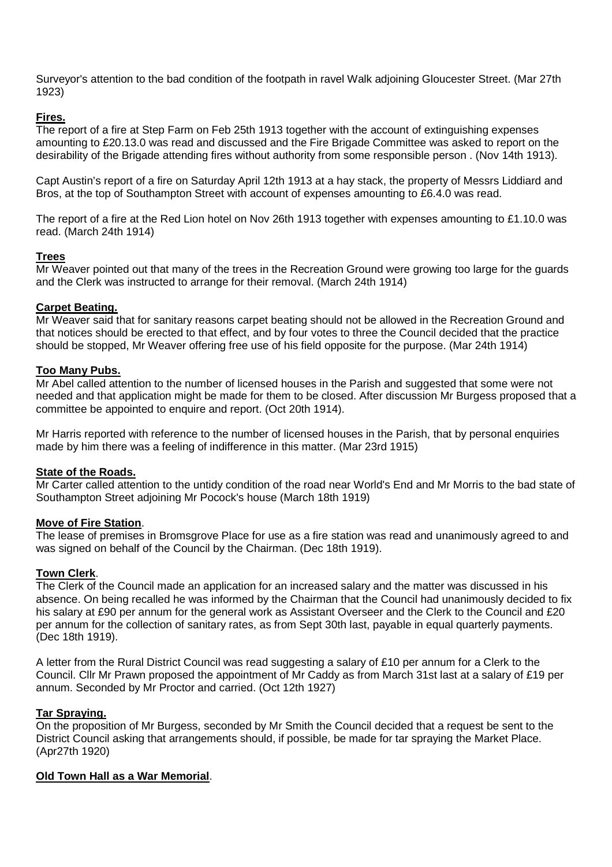Surveyor's attention to the bad condition of the footpath in ravel Walk adjoining Gloucester Street. (Mar 27th 1923)

## **Fires.**

The report of a fire at Step Farm on Feb 25th 1913 together with the account of extinguishing expenses amounting to £20.13.0 was read and discussed and the Fire Brigade Committee was asked to report on the desirability of the Brigade attending fires without authority from some responsible person . (Nov 14th 1913).

Capt Austin's report of a fire on Saturday April 12th 1913 at a hay stack, the property of Messrs Liddiard and Bros, at the top of Southampton Street with account of expenses amounting to £6.4.0 was read.

The report of a fire at the Red Lion hotel on Nov 26th 1913 together with expenses amounting to £1.10.0 was read. (March 24th 1914)

## **Trees**

Mr Weaver pointed out that many of the trees in the Recreation Ground were growing too large for the guards and the Clerk was instructed to arrange for their removal. (March 24th 1914)

## **Carpet Beating.**

Mr Weaver said that for sanitary reasons carpet beating should not be allowed in the Recreation Ground and that notices should be erected to that effect, and by four votes to three the Council decided that the practice should be stopped, Mr Weaver offering free use of his field opposite for the purpose. (Mar 24th 1914)

## **Too Many Pubs.**

Mr Abel called attention to the number of licensed houses in the Parish and suggested that some were not needed and that application might be made for them to be closed. After discussion Mr Burgess proposed that a committee be appointed to enquire and report. (Oct 20th 1914).

Mr Harris reported with reference to the number of licensed houses in the Parish, that by personal enquiries made by him there was a feeling of indifference in this matter. (Mar 23rd 1915)

### **State of the Roads.**

Mr Carter called attention to the untidy condition of the road near World's End and Mr Morris to the bad state of Southampton Street adjoining Mr Pocock's house (March 18th 1919)

### **Move of Fire Station**.

The lease of premises in Bromsgrove Place for use as a fire station was read and unanimously agreed to and was signed on behalf of the Council by the Chairman. (Dec 18th 1919).

### **Town Clerk**.

The Clerk of the Council made an application for an increased salary and the matter was discussed in his absence. On being recalled he was informed by the Chairman that the Council had unanimously decided to fix his salary at £90 per annum for the general work as Assistant Overseer and the Clerk to the Council and £20 per annum for the collection of sanitary rates, as from Sept 30th last, payable in equal quarterly payments. (Dec 18th 1919).

A letter from the Rural District Council was read suggesting a salary of £10 per annum for a Clerk to the Council. Cllr Mr Prawn proposed the appointment of Mr Caddy as from March 31st last at a salary of £19 per annum. Seconded by Mr Proctor and carried. (Oct 12th 1927)

### **Tar Spraying.**

On the proposition of Mr Burgess, seconded by Mr Smith the Council decided that a request be sent to the District Council asking that arrangements should, if possible, be made for tar spraying the Market Place. (Apr27th 1920)

### **Old Town Hall as a War Memorial**.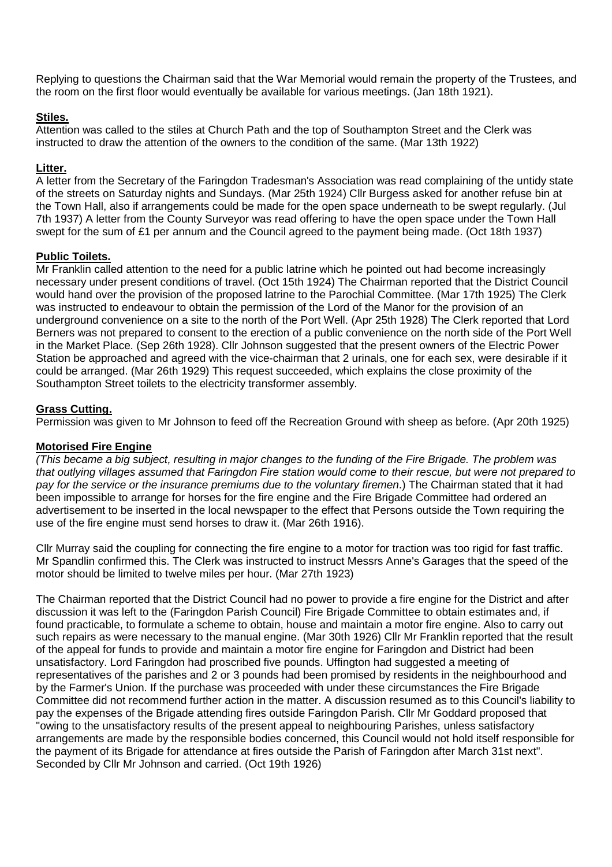Replying to questions the Chairman said that the War Memorial would remain the property of the Trustees, and the room on the first floor would eventually be available for various meetings. (Jan 18th 1921).

## **Stiles.**

Attention was called to the stiles at Church Path and the top of Southampton Street and the Clerk was instructed to draw the attention of the owners to the condition of the same. (Mar 13th 1922)

## **Litter.**

A letter from the Secretary of the Faringdon Tradesman's Association was read complaining of the untidy state of the streets on Saturday nights and Sundays. (Mar 25th 1924) Cllr Burgess asked for another refuse bin at the Town Hall, also if arrangements could be made for the open space underneath to be swept regularly. (Jul 7th 1937) A letter from the County Surveyor was read offering to have the open space under the Town Hall swept for the sum of £1 per annum and the Council agreed to the payment being made. (Oct 18th 1937)

## **Public Toilets.**

Mr Franklin called attention to the need for a public latrine which he pointed out had become increasingly necessary under present conditions of travel. (Oct 15th 1924) The Chairman reported that the District Council would hand over the provision of the proposed latrine to the Parochial Committee. (Mar 17th 1925) The Clerk was instructed to endeavour to obtain the permission of the Lord of the Manor for the provision of an underground convenience on a site to the north of the Port Well. (Apr 25th 1928) The Clerk reported that Lord Berners was not prepared to consent to the erection of a public convenience on the north side of the Port Well in the Market Place. (Sep 26th 1928). Cllr Johnson suggested that the present owners of the Electric Power Station be approached and agreed with the vice-chairman that 2 urinals, one for each sex, were desirable if it could be arranged. (Mar 26th 1929) This request succeeded, which explains the close proximity of the Southampton Street toilets to the electricity transformer assembly.

# **Grass Cutting.**

Permission was given to Mr Johnson to feed off the Recreation Ground with sheep as before. (Apr 20th 1925)

# **Motorised Fire Engine**

(This became a big subject, resulting in major changes to the funding of the Fire Brigade. The problem was that outlying villages assumed that Faringdon Fire station would come to their rescue, but were not prepared to pay for the service or the insurance premiums due to the voluntary firemen.) The Chairman stated that it had been impossible to arrange for horses for the fire engine and the Fire Brigade Committee had ordered an advertisement to be inserted in the local newspaper to the effect that Persons outside the Town requiring the use of the fire engine must send horses to draw it. (Mar 26th 1916).

Cllr Murray said the coupling for connecting the fire engine to a motor for traction was too rigid for fast traffic. Mr Spandlin confirmed this. The Clerk was instructed to instruct Messrs Anne's Garages that the speed of the motor should be limited to twelve miles per hour. (Mar 27th 1923)

The Chairman reported that the District Council had no power to provide a fire engine for the District and after discussion it was left to the (Faringdon Parish Council) Fire Brigade Committee to obtain estimates and, if found practicable, to formulate a scheme to obtain, house and maintain a motor fire engine. Also to carry out such repairs as were necessary to the manual engine. (Mar 30th 1926) Cllr Mr Franklin reported that the result of the appeal for funds to provide and maintain a motor fire engine for Faringdon and District had been unsatisfactory. Lord Faringdon had proscribed five pounds. Uffington had suggested a meeting of representatives of the parishes and 2 or 3 pounds had been promised by residents in the neighbourhood and by the Farmer's Union. If the purchase was proceeded with under these circumstances the Fire Brigade Committee did not recommend further action in the matter. A discussion resumed as to this Council's liability to pay the expenses of the Brigade attending fires outside Faringdon Parish. Cllr Mr Goddard proposed that "owing to the unsatisfactory results of the present appeal to neighbouring Parishes, unless satisfactory arrangements are made by the responsible bodies concerned, this Council would not hold itself responsible for the payment of its Brigade for attendance at fires outside the Parish of Faringdon after March 31st next". Seconded by Cllr Mr Johnson and carried. (Oct 19th 1926)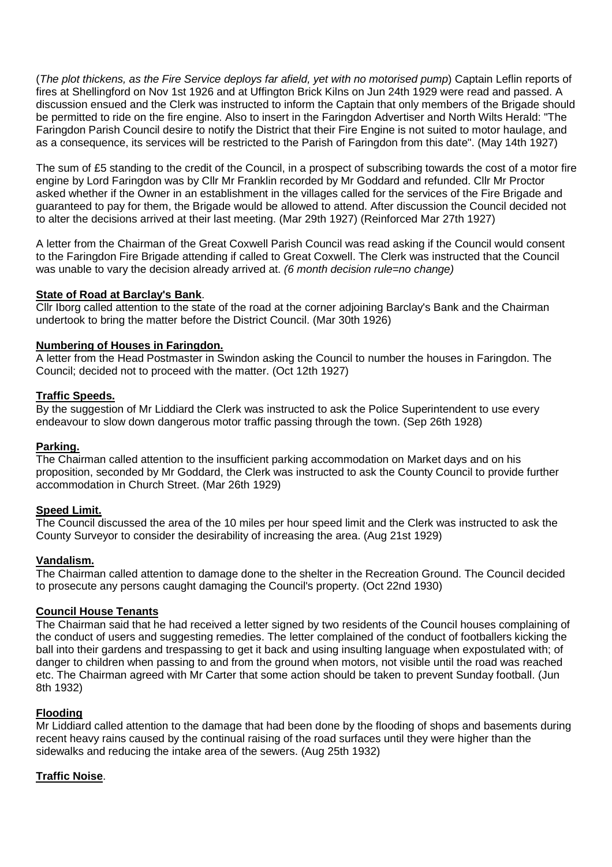(The plot thickens, as the Fire Service deploys far afield, yet with no motorised pump) Captain Leflin reports of fires at Shellingford on Nov 1st 1926 and at Uffington Brick Kilns on Jun 24th 1929 were read and passed. A discussion ensued and the Clerk was instructed to inform the Captain that only members of the Brigade should be permitted to ride on the fire engine. Also to insert in the Faringdon Advertiser and North Wilts Herald: "The Faringdon Parish Council desire to notify the District that their Fire Engine is not suited to motor haulage, and as a consequence, its services will be restricted to the Parish of Faringdon from this date". (May 14th 1927)

The sum of £5 standing to the credit of the Council, in a prospect of subscribing towards the cost of a motor fire engine by Lord Faringdon was by Cllr Mr Franklin recorded by Mr Goddard and refunded. Cllr Mr Proctor asked whether if the Owner in an establishment in the villages called for the services of the Fire Brigade and guaranteed to pay for them, the Brigade would be allowed to attend. After discussion the Council decided not to alter the decisions arrived at their last meeting. (Mar 29th 1927) (Reinforced Mar 27th 1927)

A letter from the Chairman of the Great Coxwell Parish Council was read asking if the Council would consent to the Faringdon Fire Brigade attending if called to Great Coxwell. The Clerk was instructed that the Council was unable to vary the decision already arrived at. (6 month decision rule=no change)

# **State of Road at Barclay's Bank**.

Cllr Iborg called attention to the state of the road at the corner adjoining Barclay's Bank and the Chairman undertook to bring the matter before the District Council. (Mar 30th 1926)

## **Numbering of Houses in Faringdon.**

A letter from the Head Postmaster in Swindon asking the Council to number the houses in Faringdon. The Council; decided not to proceed with the matter. (Oct 12th 1927)

### **Traffic Speeds.**

By the suggestion of Mr Liddiard the Clerk was instructed to ask the Police Superintendent to use every endeavour to slow down dangerous motor traffic passing through the town. (Sep 26th 1928)

### **Parking.**

The Chairman called attention to the insufficient parking accommodation on Market days and on his proposition, seconded by Mr Goddard, the Clerk was instructed to ask the County Council to provide further accommodation in Church Street. (Mar 26th 1929)

### **Speed Limit.**

The Council discussed the area of the 10 miles per hour speed limit and the Clerk was instructed to ask the County Surveyor to consider the desirability of increasing the area. (Aug 21st 1929)

### **Vandalism.**

The Chairman called attention to damage done to the shelter in the Recreation Ground. The Council decided to prosecute any persons caught damaging the Council's property. (Oct 22nd 1930)

### **Council House Tenants**

The Chairman said that he had received a letter signed by two residents of the Council houses complaining of the conduct of users and suggesting remedies. The letter complained of the conduct of footballers kicking the ball into their gardens and trespassing to get it back and using insulting language when expostulated with; of danger to children when passing to and from the ground when motors, not visible until the road was reached etc. The Chairman agreed with Mr Carter that some action should be taken to prevent Sunday football. (Jun 8th 1932)

# **Flooding**

Mr Liddiard called attention to the damage that had been done by the flooding of shops and basements during recent heavy rains caused by the continual raising of the road surfaces until they were higher than the sidewalks and reducing the intake area of the sewers. (Aug 25th 1932)

# **Traffic Noise**.